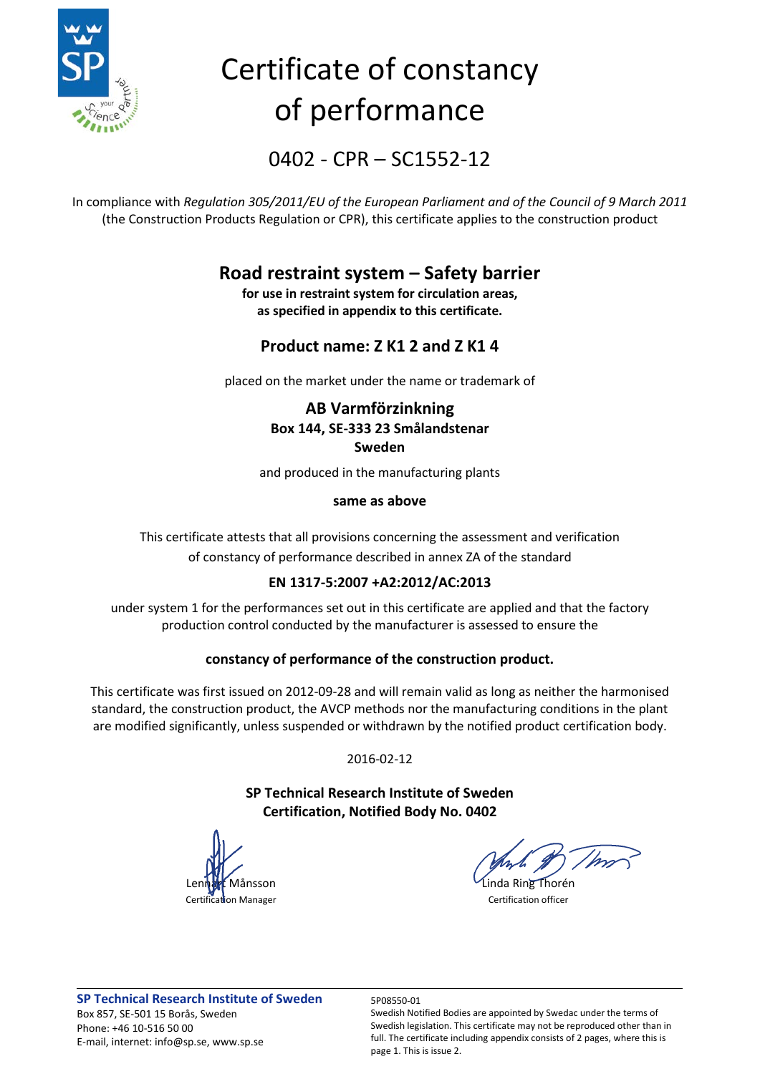

# Certificate of constancy of performance

0402 - CPR – SC1552-12

In compliance with *Regulation 305/2011/EU of the European Parliament and of the Council of 9 March 2011* (the Construction Products Regulation or CPR), this certificate applies to the construction product

### **Road restraint system – Safety barrier**

**for use in restraint system for circulation areas, as specified in appendix to this certificate.**

### **Product name: Z K1 2 and Z K1 4**

placed on the market under the name or trademark of

### **AB Varmförzinkning Box 144, SE-333 23 Smålandstenar Sweden**

and produced in the manufacturing plants

#### **same as above**

This certificate attests that all provisions concerning the assessment and verification of constancy of performance described in annex ZA of the standard

### **EN 1317-5:2007 +A2:2012/AC:2013**

under system 1 for the performances set out in this certificate are applied and that the factory production control conducted by the manufacturer is assessed to ensure the

### **constancy of performance of the construction product.**

This certificate was first issued on 2012-09-28 and will remain valid as long as neither the harmonised standard, the construction product, the AVCP methods nor the manufacturing conditions in the plant are modified significantly, unless suspended or withdrawn by the notified product certification body.

2016-02-12

### **SP Technical Research Institute of Sweden Certification, Notified Body No. 0402**

ansson Linda Ring Thorén **Certification Manager** Certification officer

Swedish Notified Bodies are appointed by Swedac under the terms of Swedish legislation. This certificate may not be reproduced other than in full. The certificate including appendix consists of 2 pages, where this is page 1. This is issue 2.